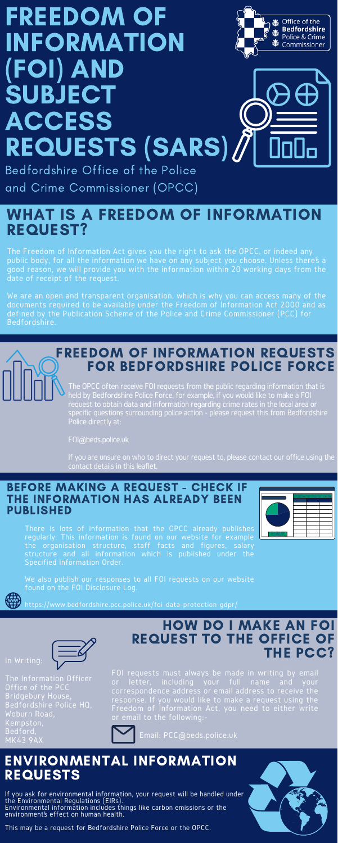# FREEDOM OF INFORMATION (FOI) AND **SUBJECT** ACCESS REQUESTS (SARS)



Bedfordshire Office of the Police and Crime Commissioner (OPCC)

> The OPCC often receive FOI requests from the public regarding information that is held by Bedfordshire Police Force, for example, if you would like to make a FOI request to obtain data and information regarding crime rates in the local area or specific questions surrounding police action - please request this from Bedfordshire Police directly at:

FOI@beds.police.uk

If you are unsure on who to direct your request to, please contact our office using the contact details in this leaflet.

# FREEDOM OF INFORMATION REQUESTS FOR BEDFORDSHIRE POLICE FORCE

The Freedom of Information Act gives you the right to ask the OPCC, or indeed any public body, for all the information we have on any subject you choose. Unless there's a good reason, we will provide you with the information within 20 working days from the date of receipt of the request.

We are an open and transparent organisation, which is why you can access many of the documents required to be available under the Freedom of Information Act 2000 and as defined by the [Publication](https://www.bedfordshire.pcc.police.uk/policies-procedures/) Scheme of the Police and Crime Commissioner (PCC) for Bedfordshire.

# WHAT IS A FREEDOM OF INFORMATION REQUEST?

FOI requests must always be made in writing by email or letter, including your full name and your correspondence address or email address to receive the response. If you would like to make a request using the Freedom of Information Act, you need to either write or email to the following:-



Email: PCC@beds.police.uk

### HOW DO I MAKE AN FOI REQUEST TO THE OFFICE OF THE PCC?

There is lots of information that the OPCC already publishes regularly. This information is found on our website for example the organisation structure, staff facts and figures, salary structure and all information which is published under the Specified Information Order.

We also publish our responses to all FOI requests on our website found on the FOI Disclosure Log.



#### BEFORE MAKING A REQUEST - CHECK IF THE INFORMATION HAS ALREADY BEEN



#### PUBLISHED

If you ask for environmental information, your request will be handled under the Environmental Regulations (EIRs). Environmental information includes things like carbon emissions or the environment's effect on human health.

This may be a request for Bedfordshire Police Force or the OPCC.



#### ENVIRONMENTAL INFORMATION REQUESTS

In Writing: